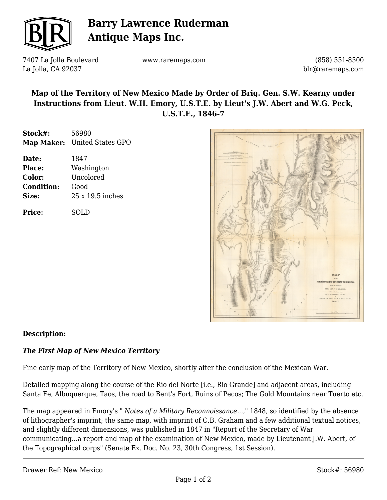

# **Barry Lawrence Ruderman Antique Maps Inc.**

7407 La Jolla Boulevard La Jolla, CA 92037

www.raremaps.com

(858) 551-8500 blr@raremaps.com

## **Map of the Territory of New Mexico Made by Order of Brig. Gen. S.W. Kearny under Instructions from Lieut. W.H. Emory, U.S.T.E. by Lieut's J.W. Abert and W.G. Peck, U.S.T.E., 1846-7**

**Stock#:** 56980 **Map Maker:** United States GPO

| Date:             | 1847             |
|-------------------|------------------|
| <b>Place:</b>     | Washington       |
| Color:            | Uncolored        |
| <b>Condition:</b> | Good             |
| Size:             | 25 x 19.5 inches |
|                   |                  |

**Price:** SOLD



### **Description:**

### *The First Map of New Mexico Territory*

Fine early map of the Territory of New Mexico, shortly after the conclusion of the Mexican War.

Detailed mapping along the course of the Rio del Norte [i.e., Rio Grande] and adjacent areas, including Santa Fe, Albuquerque, Taos, the road to Bent's Fort, Ruins of Pecos; The Gold Mountains near Tuerto etc.

The map appeared in Emory's " *Notes of a Military Reconnoissance...*," 1848, so identified by the absence of lithographer's imprint; the same map, with imprint of C.B. Graham and a few additional textual notices, and slightly different dimensions, was published in 1847 in "Report of the Secretary of War communicating...a report and map of the examination of New Mexico, made by Lieutenant J.W. Abert, of the Topographical corps" (Senate Ex. Doc. No. 23, 30th Congress, 1st Session).